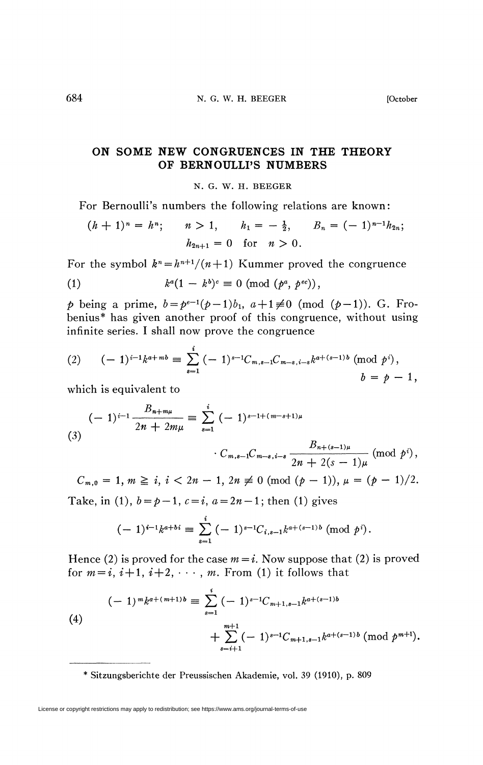*)*,

## **ON SOME NEW CONGRUENCES IN THE THEORY OF BERNOULLI'S NUMBERS**

N. G. W. H. BEEGER

For Bernoulli's numbers the following relations are known:

$$
(h+1)^n = h^n; \qquad n > 1, \qquad h_1 = -\frac{1}{2}, \qquad B_n = (-1)^{n-1} h_{2n};
$$
  

$$
h_{2n+1} = 0 \quad \text{for} \quad n > 0.
$$

For the symbol  $k^n = h^{n+1}/(n+1)$  Kummer proved the congruence

(1) 
$$
k^a(1-k^b)^c \equiv 0 \pmod{(p^a, p^{ec})},
$$

*p* being a prime,  $b = p^{e-1}(p-1)b_1$ ,  $a+1 \neq 0$  (mod  $(p-1)$ ). G. Frobenius\* has given another proof of this congruence, without using infinite series. I shall now prove the congruence

$$
(2) \qquad (-1)^{i-1}k^{a+m}b \equiv \sum_{s=1}^{i} (-1)^{s-1}C_{m,s-1}C_{m-s,i-s}k^{a+(s-1)b} \pmod{p^{i}},
$$

$$
b = p - 1,
$$

which is equivalent to

$$
(-1)^{i-1} \frac{B_{n+m\mu}}{2n+2m\mu} \equiv \sum_{s=1}^{i} (-1)^{s-1+(m-s+1)\mu} \cdot C_{m,s-1} C_{m-s,i-s} \frac{B_{n+(s-1)\mu}}{2n+2(s-1)\mu} \pmod{p^i}
$$

 $C_{m,0} = 1, m \ge i, i < 2n - 1, 2n \ne 0 \pmod{(p-1)}, \mu = (p-1)/2.$ Cm,0 = 1, *m* ^ i, i < *In -* 1, 2^ ^ 0 (mod *(p -* 1)), *» = (p -* l)/2.

$$
(-1)^{i-1}k^{a+b} \equiv \sum_{s=1}^{i} (-1)^{s-1}C_{i,s-1}k^{a+(s-1)b} \pmod{p^{i}}.
$$

Hence (2) is proved for the case  $m = i$ . Now suppose that (2) is proved for  $m = i$ ,  $i+1$ ,  $i+2$ ,  $\cdots$ , m. From (1) it follows that

(4)  
\n
$$
(-1)^{m}k^{a+(m+1)b} \equiv \sum_{s=1}^{i} (-1)^{s-1}C_{m+1,s-1}k^{a+(s-1)b} + \sum_{s=i+1}^{m+1} (-1)^{s-1}C_{m+1,s-1}k^{a+(s-1)b} \pmod{p^{m+1}}.
$$

Sitzungsberichte der Preussischen Akademie, vol. 39 (1910), p. 809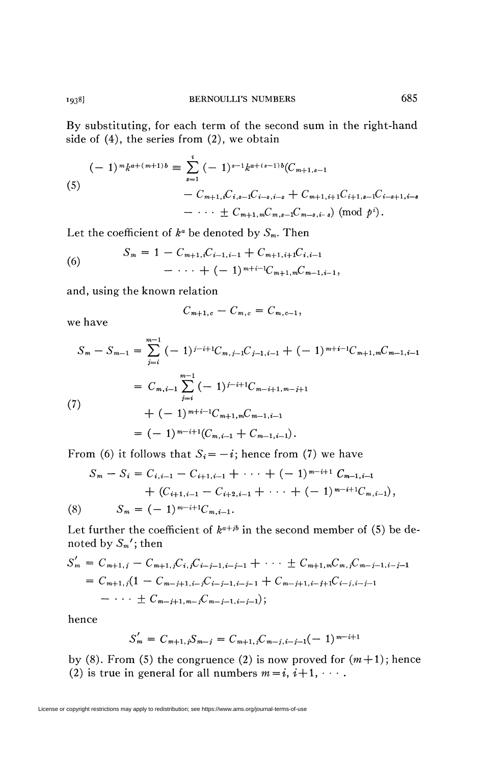By substituting, for each term of the second sum in the right-hand side of (4), the series from (2), we obtain

(5)  
\n
$$
(-1)^{m}k^{a+(m+1)b} \equiv \sum_{s=1}^{i} (-1)^{s-1}k^{a+(s-1)b}(C_{m+1,s-1})
$$
\n
$$
- C_{m+1,i}C_{i,s-1}C_{i-s,i-s} + C_{m+1,i+1}C_{i+1,s-1}C_{i-s+1,i-s}
$$
\n
$$
- \cdots \pm C_{m+1,m}C_{m,s-1}C_{m-s,i-s}) \pmod{p^{i}}.
$$

Let the coefficient of  $k^a$  be denoted by  $S_m$ . Then

(6) 
$$
S_m = 1 - C_{m+1,i}C_{i-1,i-1} + C_{m+1,i+1}C_{i,i-1} - \cdots + (-1)^{m+i-1}C_{m+1,m}C_{m-1,i-1}
$$

I \ *\*• )* ^m-t-l.wVra—l,i—1 >

$$
C_{m+1,c} - C_{m,c} = C_{m,c-1},
$$

$$
S_m - S_{m-1} = \sum_{j=i}^{m-1} (-1)^{j-i+1} C_{m,j-1} C_{j-1,i-1} + (-1)^{m+i-1} C_{m+1,m} C_{m-1,i-1}
$$
  

$$
= C_{m,i-1} \sum_{j=i}^{m-1} (-1)^{j-i+1} C_{m-i+1,m-j+1}
$$
  
(7)
$$
+ (-1)^{m+i-1} C_{m+1,m} C_{m-1,i-1}
$$

$$
= (-1)^{m-i+1} (C_{m,i-1} + C_{m-1,i-1}).
$$

From (6) it follows that  $S_i = -i$ ; hence from (7) we have

$$
S_m - S_i = C_{i,i-1} - C_{i+1,i-1} + \cdots + (-1)^{m-i+1} C_{m-1,i-1} + (C_{i+1,i-1} - C_{i+2,i-1} + \cdots + (-1)^{m-i+1} C_{m,i-1}),
$$
  
(8) 
$$
S_m = (-1)^{m-i+1} C_{m,i-1}.
$$

Let further the coefficient of  $k^{a+jb}$  in the second member of (5) be denoted by *Sm';* then

$$
S'_{m} = C_{m+1,j} - C_{m+1,j}C_{i,j}C_{i-j-1,i-j-1} + \cdots \pm C_{m+1,m}C_{m,j}C_{m-j-1,i-j-1}
$$
  
=  $C_{m+1,j}(1 - C_{m-j+1,i-j}C_{i-j-1,i-j-1} + C_{m-j+1,i-j+1}C_{i-j,i-j-1}$   
-  $\cdots \pm C_{m-j+1,m-j}C_{m-j-1,i-j-1});$ 

hence

$$
S'_m = C_{m+1,j} S_{m-j} = C_{m+1,j} C_{m-j,i-j-1} (-1)^{m-i+1}
$$

by (8). From (5) the congruence (2) is now proved for  $(m+1)$ ; hence (2) is true in general for all numbers  $m = i$ ,  $i+1$ ,  $\dots$ .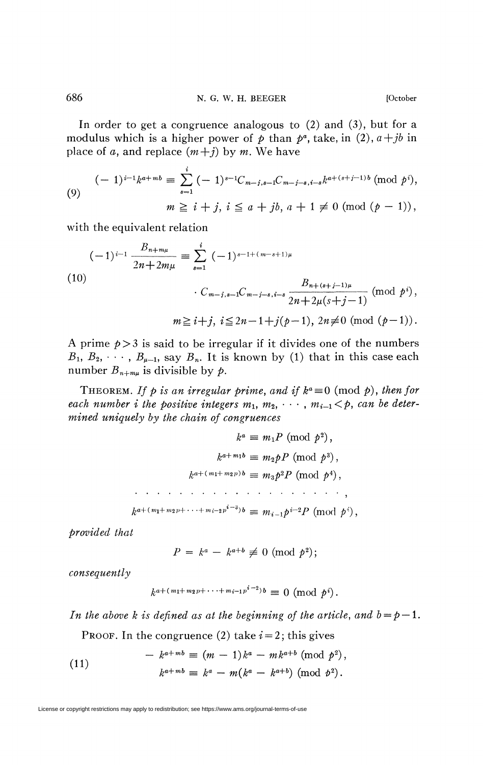In order to get a congruence analogous to (2) and (3), but for a modulus which is a higher power of  $p$  than  $p^a$ , take, in (2),  $a+jb$  in place of a, and replace  $(m+j)$  by m. We have

$$
(-1)^{i-1}k^{a+m} = \sum_{s=1}^{i} (-1)^{s-1}C_{m-j,s-1}C_{m-j-s,i-s}k^{a+(s+j-1)b} \pmod{p^{i}},
$$
  
\n
$$
m \geq i+j, i \leq a+jb, a+1 \neq 0 \pmod{(p-1)},
$$

with the equivalent relation

$$
(-1)^{i-1} \frac{B_{n+m\mu}}{2n+2m\mu} \equiv \sum_{s=1}^{i} (-1)^{s-1+(m-s+1)\mu}
$$
  
(10)  

$$
\cdot C_{m-j,s-1}C_{m-j-s,i-s} \frac{B_{n+(s+j-1)\mu}}{2n+2\mu(s+j-1)} \text{ (mod } p^{i}),
$$

$$
m \geq i+j, \ i \leq 2n-1+j(p-1), \ 2n \neq 0 \text{ (mod } (p-1)).
$$

A prime  $p > 3$  is said to be irregular if it divides one of the numbers  $B_1, B_2, \cdots, B_{\mu-1}$ , say  $B_n$ . It is known by (1) that in this case each number  $B_{n+m\mu}$  is divisible by  $p$ .

THEOREM. If p is an irregular prime, and if  $k^a \equiv 0 \pmod{p}$ , then for each number *i* the positive integers  $m_1, m_2, \cdots, m_{i-1} < p$ , can be deter*mined uniquely by the chain of congruences* 

$$
k^{a} \equiv m_{1}P \pmod{p^{2}},
$$

$$
k^{a+m_{1}b} \equiv m_{2}pP \pmod{p^{3}},
$$

$$
k^{a+(m_{1}+m_{2}p)b} \equiv m_{3}p^{2}P \pmod{p^{4}},
$$

$$
\cdots \cdots \cdots \cdots \cdots \cdots \cdots \cdots
$$

$$
k^{a+(m_{1}+m_{2}p+\cdots+m_{i-2}p^{i-3})b} \equiv m_{i-1}p^{i-2}P \pmod{p^{i}},
$$

*provided that* 

$$
P = k^a - k^{a+b} \not\equiv 0 \pmod{p^2};
$$

 $consequently$ 

$$
k^{a+(m_1+m_2p+\cdots+m_{i-1}p^{i-2})b} \equiv 0 \pmod{p^i}.
$$

*In the above k is defined as at the beginning of the article, and*  $b = p - 1$ *.* 

PROOF. In the congruence  $(2)$  take  $i = 2$ ; this gives

(11) 
$$
- k^{a+m} \equiv (m-1)k^a - mk^{a+b} \pmod{p^2},
$$

$$
k^{a+m} \equiv k^a - m(k^a - k^{a+b}) \pmod{p^2}.
$$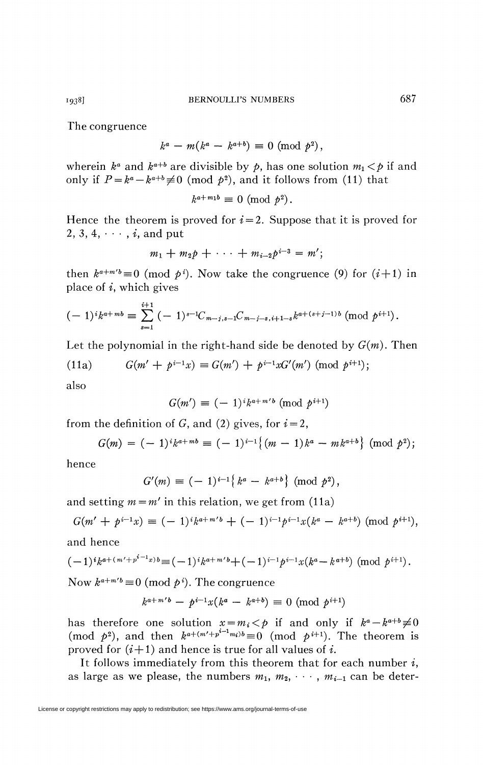The congruence

$$
k^a - m(k^a - k^{a+b}) \equiv 0 \pmod{p^2},
$$

wherein  $k^a$  and  $k^{a+b}$  are divisible by  $p$ , has one solution  $m_1 < p$  if and only if  $P = k^a - k^{a+b} \neq 0 \pmod{p^2}$ , and it follows from (11) that

$$
k^{a+m_1b} \equiv 0 \pmod{p^2}.
$$

Hence the theorem is proved for  $i = 2$ . Suppose that it is proved for 2, 3, 4,  $\cdots$  ,  $i$ , and put

$$
m_1 + m_2 p + \cdots + m_{i-2} p^{i-3} = m';
$$

then  $k^{a+m/b} \equiv 0 \pmod{p^i}$ . Now take the congruence (9) for  $(i+1)$  in place of *i*, which gives

$$
(-1)^{i}k^{a+mb} \equiv \sum_{s=1}^{i+1} (-1)^{s-1}C_{m-j,s-1}C_{m-j-s,i+1-s}k^{a+(s+j-1)b} \pmod{p^{i+1}}.
$$

Let the polynomial in the right-hand side be denoted by  $G(m)$ . Then

(11a) 
$$
G(m' + p^{i-1}x) \equiv G(m') + p^{i-1}xG'(m') \pmod{p^{i+1}};
$$

also

$$
G(m') \equiv (-1)^{i} k^{a+m'b} \pmod{p^{i+1}}
$$

from the definition of  $G$ , and (2) gives, for  $i = 2$ ,

$$
G(m) = (-1)^{i}k^{a+m}b \equiv (-1)^{i-1}\{(m-1)k^{a} - mk^{a+b}\} \pmod{p^{2}};
$$

hence

$$
G'(m) \equiv (-1)^{i-1} \{ k^a - k^{a+b} \} \pmod{p^2},
$$

and setting  $m = m'$  in this relation, we get from (11a)

$$
G(m' + p^{i-1}x) \equiv (-1)^{i}k^{a+m'b} + (-1)^{i-1}p^{i-1}x(k^a - k^{a+b}) \pmod{p^{i+1}},
$$

and hence

$$
(-1)^{i}k^{a+(m'+p^{i-1}x)b} \equiv (-1)^{i}k^{a+m'b} + (-1)^{i-1}p^{i-1}x(k^a-k^{a+b}) \pmod{p^{i+1}}.
$$

Now  $k^{a+m'b} \equiv 0 \pmod{p^i}$ . The congruence

$$
k^{a+m'b} - p^{i-1}x(k^a - k^{a+b}) \equiv 0 \pmod{p^{i+1}}
$$

has therefore one solution  $x = m_i < p$  if and only if  $k^a - k^{a+b} \neq 0$ (mod  $p^2$ ), and then  $k^{a+(m'+p^{i-1}m_i)b} \equiv 0$  (mod  $p^{i+1}$ ). The theorem is proved for  $(i+1)$  and hence is true for all values of *i*.

It follows immediately from this theorem that for each number *i,*  as large as we please, the numbers  $m_1, m_2, \cdots, m_{i-1}$  can be deter-